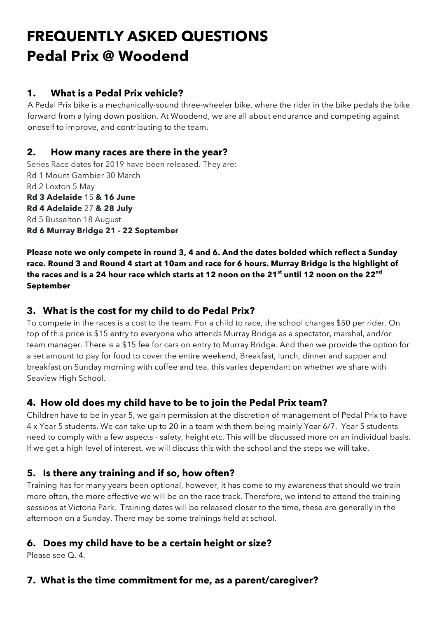# **FREQUENTLY ASKED QUESTIONS Pedal Prix @ Woodend**

## **1. What is a Pedal Prix vehicle?**

A Pedal Prix bike is a mechanically-sound three-wheeler bike, where the rider in the bike pedals the bike forward from a lying down position. At Woodend, we are all about endurance and competing against oneself to improve, and contributing to the team.

#### **2. How many races are there in the year?**

Series Race dates for 2019 have been released. They are: Rd 1 Mount Gambier 30 March Rd 2 Loxton 5 May **Rd 3 Adelaide** 15 **& 16 June Rd 4 Adelaide** 27 **& 28 July** Rd 5 Busselton 18 August **Rd 6 Murray Bridge 21 - 22 September**

**Please note we only compete in round 3, 4 and 6. And the dates bolded which reflect a Sunday race. Round 3 and Round 4 start at 10am and race for 6 hours. Murray Bridge is the highlight of the races and is a 24 hour race which starts at 12 noon on the 21st until 12 noon on the 22nd September**

### **3. What is the cost for my child to do Pedal Prix?**

To compete in the races is a cost to the team. For a child to race, the school charges \$50 per rider. On top of this price is \$15 entry to everyone who attends Murray Bridge as a spectator, marshal, and/or team manager. There is a \$15 fee for cars on entry to Murray Bridge. And then we provide the option for a set amount to pay for food to cover the entire weekend, Breakfast, lunch, dinner and supper and breakfast on Sunday morning with coffee and tea, this varies dependant on whether we share with Seaview High School.

### **4. How old does my child have to be to join the Pedal Prix team?**

Children have to be in year 5, we gain permission at the discretion of management of Pedal Prix to have 4 x Year 5 students. We can take up to 20 in a team with them being mainly Year 6/7. Year 5 students need to comply with a few aspects - safety, height etc. This will be discussed more on an individual basis. If we get a high level of interest, we will discuss this with the school and the steps we will take.

### **5. Is there any training and if so, how often?**

Training has for many years been optional, however, it has come to my awareness that should we train more often, the more effective we will be on the race track. Therefore, we intend to attend the training sessions at Victoria Park. Training dates will be released closer to the time, these are generally in the afternoon on a Sunday. There may be some trainings held at school.

### **6. Does my child have to be a certain height or size?**

Please see Q. 4.

### **7. What is the time commitment for me, as a parent/caregiver?**